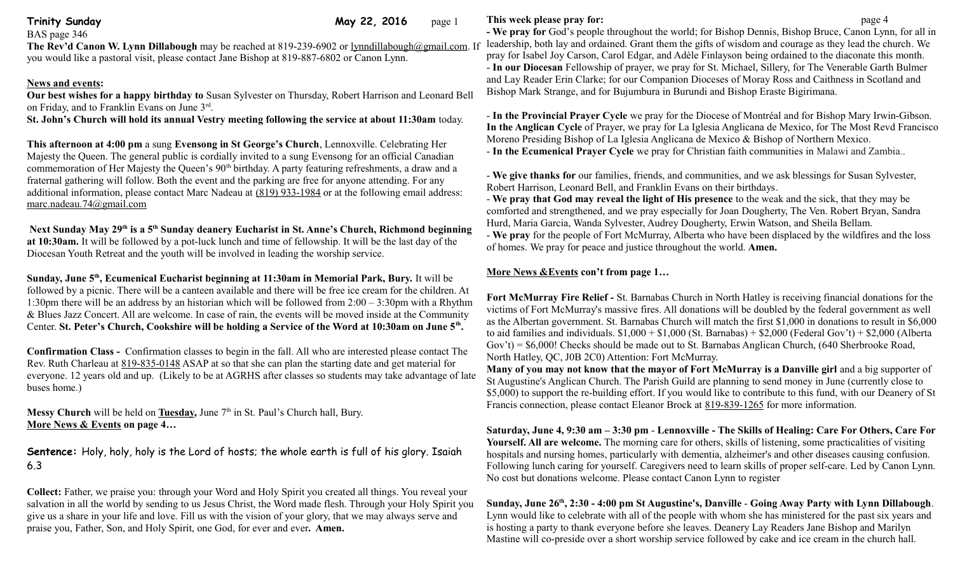BAS page 346

**Trinity Sunday Community Sunday Community Sunday Community Sunday Community Community Community Community Community Community Community Community Community Community Community Community Community Community Community Commu** 

**The Rev'd Canon W. Lynn Dillabough** may be reached at 819-239-6902 or [lynndillabough@gmail.com.](mailto:lynndillabough@gmail.com) If you would like a pastoral visit, please contact Jane Bishop at 819-887-6802 or Canon Lynn.

# **News and events:**

**Our best wishes for a happy birthday to** Susan Sylvester on Thursday, Robert Harrison and Leonard Bell on Friday, and to Franklin Evans on June 3rd .

**St. John's Church will hold its annual Vestry meeting following the service at about 11:30am** today.

**This afternoon at 4:00 pm** a sung **Evensong in St George's Church**, Lennoxville. Celebrating Her Majesty the Queen. The general public is cordially invited to a sung Evensong for an official Canadian commemoration of Her Majesty the Queen's  $90<sup>th</sup>$  birthday. A party featuring refreshments, a draw and a fraternal gathering will follow. Both the event and the parking are free for anyone attending. For any additional information, please contact Marc Nadeau at [\(819\) 933-1984](tel:(819)%20933-1984) or at the following email address: [marc.nadeau.74@gmail.com](mailto:marc.nadeau.74@gmail.com)

**Next Sunday May 29th is a 5th Sunday deanery Eucharist in St. Anne's Church, Richmond beginning at 10:30am.** It will be followed by a pot-luck lunch and time of fellowship. It will be the last day of the Diocesan Youth Retreat and the youth will be involved in leading the worship service.

**Sunday, June 5th, Ecumenical Eucharist beginning at 11:30am in Memorial Park, Bury.** It will be followed by a picnic. There will be a canteen available and there will be free ice cream for the children. At 1:30pm there will be an address by an historian which will be followed from  $2:00 - 3:30$ pm with a Rhythm & Blues Jazz Concert. All are welcome. In case of rain, the events will be moved inside at the Community Center. **St. Peter's Church, Cookshire will be holding a Service of the Word at 10:30am on June 5th .**

**Confirmation Class -** Confirmation classes to begin in the fall. All who are interested please contact The Rev. Ruth Charleau at [819-835-0148](tel:819-835-0148) ASAP at so that she can plan the starting date and get material for everyone. 12 years old and up. (Likely to be at AGRHS after classes so students may take advantage of late buses home.)

**Messy Church** will be held on **Tuesday**, June  $7<sup>th</sup>$  in St. Paul's Church hall, Bury. **More News & Events on page 4…**

**Sentence:** Holy, holy, holy is the Lord of hosts; the whole earth is full of his glory. Isaiah 6.3

**Collect:** Father, we praise you: through your Word and Holy Spirit you created all things. You reveal your salvation in all the world by sending to us Jesus Christ, the Word made flesh. Through your Holy Spirit you give us a share in your life and love. Fill us with the vision of your glory, that we may always serve and praise you, Father, Son, and Holy Spirit, one God, for ever and ever**. Amen.**

## **This week please pray for: page 4**

**- We pray for** God's people throughout the world; for Bishop Dennis, Bishop Bruce, Canon Lynn, for all in leadership, both lay and ordained. Grant them the gifts of wisdom and courage as they lead the church. We pray for Isabel Joy Carson, Carol Edgar, and Adèle Finlayson being ordained to the diaconate this month. - **In our Diocesan** Fellowship of prayer, we pray for St. Michael, Sillery, for The Venerable Garth Bulmer and Lay Reader Erin Clarke; for our Companion Dioceses of Moray Ross and Caithness in Scotland and Bishop Mark Strange, and for Bujumbura in Burundi and Bishop Eraste Bigirimana.

- **In the Provincial Prayer Cycle** we pray for the Diocese of Montréal and for Bishop Mary Irwin-Gibson. **In the Anglican Cycle** of Prayer, we pray for La Iglesia Anglicana de Mexico, for The Most Revd Francisco Moreno Presiding Bishop of La Iglesia Anglicana de Mexico & Bishop of Northern Mexico.

- **In the Ecumenical Prayer Cycle** we pray for Christian faith communities in Malawi and Zambia..

- **We give thanks for** our families, friends, and communities, and we ask blessings for Susan Sylvester, Robert Harrison, Leonard Bell, and Franklin Evans on their birthdays.

- **We pray that God may reveal the light of His presence** to the weak and the sick, that they may be comforted and strengthened, and we pray especially for Joan Dougherty, The Ven. Robert Bryan, Sandra Hurd, Maria Garcia, Wanda Sylvester, Audrey Dougherty, Erwin Watson, and Sheila Bellam.

- **We pray** for the people of Fort McMurray, Alberta who have been displaced by the wildfires and the loss of homes. We pray for peace and justice throughout the world. **Amen.**

# **More News &Events con't from page 1…**

**Fort McMurray Fire Relief -** St. Barnabas Church in North Hatley is receiving financial donations for the victims of Fort McMurray's massive fires. All donations will be doubled by the federal government as well as the Albertan government. St. Barnabas Church will match the first \$1,000 in donations to result in \$6,000 to aid families and individuals.  $$1,000 + $1,000$  (St. Barnabas) +  $$2,000$  (Federal Gov't) +  $$2,000$  (Alberta Gov't) = \$6,000! Checks should be made out to St. Barnabas Anglican Church, (640 Sherbrooke Road, North Hatley, QC, J0B 2C0) Attention: Fort McMurray.

**Many of you may not know that the mayor of Fort McMurray is a Danville girl** and a big supporter of St Augustine's Anglican Church. The Parish Guild are planning to send money in June (currently close to \$5,000) to support the re-building effort. If you would like to contribute to this fund, with our Deanery of St Francis connection, please contact Eleanor Brock at [819-839-1265](tel:819-839-1265) for more information.

**Saturday, June 4, 9:30 am – 3:30 pm** - **Lennoxville - The Skills of Healing: Care For Others, Care For Yourself. All are welcome.** The morning care for others, skills of listening, some practicalities of visiting hospitals and nursing homes, particularly with dementia, alzheimer's and other diseases causing confusion. Following lunch caring for yourself. Caregivers need to learn skills of proper self-care. Led by Canon Lynn. No cost but donations welcome. Please contact Canon Lynn to register

**Sunday, June 26th, 2:30 - 4:00 pm St Augustine's, Danville** - **Going Away Party with Lynn Dillabough**. Lynn would like to celebrate with all of the people with whom she has ministered for the past six years and is hosting a party to thank everyone before she leaves. Deanery Lay Readers Jane Bishop and Marilyn Mastine will co-preside over a short worship service followed by cake and ice cream in the church hall.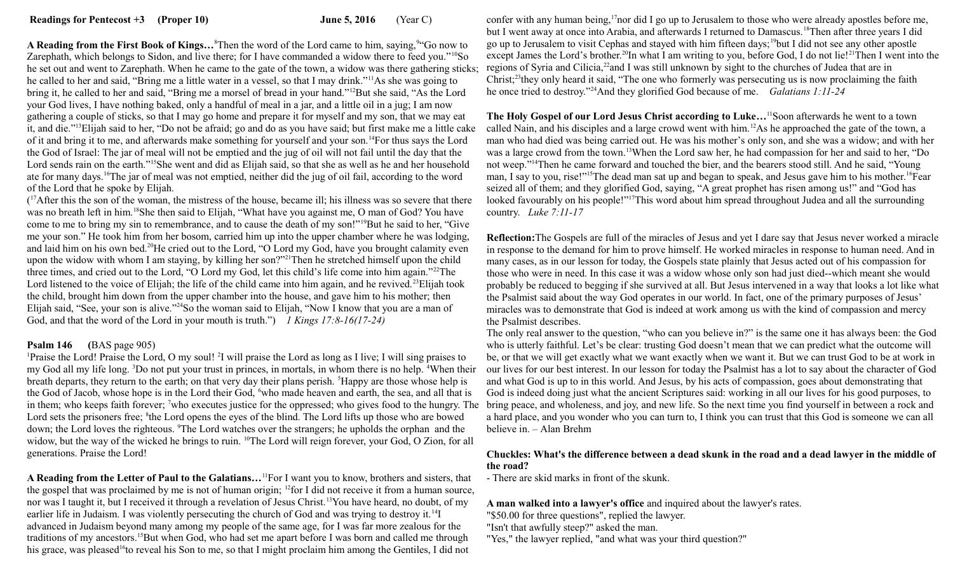**Readings for Pentecost +3 (Proper 10) June 5, 2016** (Year C)

A Reading from the First Book of Kings...<sup>8</sup>Then the word of the Lord came to him, saying,<sup>94</sup>Go now to Zarephath, which belongs to Sidon, and live there; for I have commanded a widow there to feed you."<sup>10</sup>So he set out and went to Zarephath. When he came to the gate of the town, a widow was there gathering sticks; he called to her and said, "Bring me a little water in a vessel, so that I may drink."<sup>11</sup>As she was going to bring it, he called to her and said, "Bring me a morsel of bread in your hand."<sup>12</sup>But she said, "As the Lord your God lives, I have nothing baked, only a handful of meal in a jar, and a little oil in a jug; I am now gathering a couple of sticks, so that I may go home and prepare it for myself and my son, that we may eat it, and die."<sup>13</sup>Elijah said to her, "Do not be afraid; go and do as you have said; but first make me a little cake of it and bring it to me, and afterwards make something for yourself and your son.<sup>14</sup>For thus says the Lord the God of Israel: The jar of meal will not be emptied and the jug of oil will not fail until the day that the Lord sends rain on the earth."<sup>15</sup>She went and did as Elijah said, so that she as well as he and her household ate for many days.<sup>16</sup>The jar of meal was not emptied, neither did the jug of oil fail, according to the word of the Lord that he spoke by Elijah.

(<sup>17</sup>After this the son of the woman, the mistress of the house, became ill; his illness was so severe that there was no breath left in him.<sup>18</sup>She then said to Elijah, "What have you against me, O man of God? You have come to me to bring my sin to remembrance, and to cause the death of my son!"<sup>19</sup>But he said to her, "Give me your son." He took him from her bosom, carried him up into the upper chamber where he was lodging, and laid him on his own bed.<sup>20</sup>He cried out to the Lord, "O Lord my God, have you brought calamity even upon the widow with whom I am staying, by killing her son?"<sup>21</sup>Then he stretched himself upon the child three times, and cried out to the Lord, "O Lord my God, let this child's life come into him again."<sup>22</sup>The Lord listened to the voice of Elijah; the life of the child came into him again, and he revived.<sup>23</sup>Elijah took the child, brought him down from the upper chamber into the house, and gave him to his mother; then Elijah said, "See, your son is alive."<sup>24</sup>So the woman said to Elijah, "Now I know that you are a man of God, and that the word of the Lord in your mouth is truth.") *1 Kings 17:8-16(17-24)* 

### **Psalm 146 (**BAS page 905)

<sup>1</sup>Praise the Lord! Praise the Lord, O my soul! <sup>2</sup>I will praise the Lord as long as I live; I will sing praises to my God all my life long. <sup>3</sup>Do not put your trust in princes, in mortals, in whom there is no help. <sup>4</sup>When their breath departs, they return to the earth; on that very day their plans perish. <sup>5</sup>Happy are those whose help is the God of Jacob, whose hope is in the Lord their God, <sup>6</sup>who made heaven and earth, the sea, and all that is in them; who keeps faith forever; <sup>7</sup>who executes justice for the oppressed; who gives food to the hungry. The bring peace, and wholeness, and joy, and new life. So the next time you find yourself in between a rock and Lord sets the prisoners free; <sup>8</sup>the Lord opens the eyes of the blind. The Lord lifts up those who are bowed down; the Lord loves the righteous. <sup>9</sup>The Lord watches over the strangers; he upholds the orphan and the widow, but the way of the wicked he brings to ruin. <sup>10</sup>The Lord will reign forever, your God, O Zion, for all generations. Praise the Lord!

**A Reading from the Letter of Paul to the Galatians…**<sup>11</sup>For I want you to know, brothers and sisters, that the gospel that was proclaimed by me is not of human origin; <sup>12</sup>for I did not receive it from a human source, nor was I taught it, but I received it through a revelation of Jesus Christ.<sup>13</sup>You have heard, no doubt, of my earlier life in Judaism. I was violently persecuting the church of God and was trying to destroy it.<sup>14</sup>I advanced in Judaism beyond many among my people of the same age, for I was far more zealous for the traditions of my ancestors.<sup>15</sup>But when God, who had set me apart before I was born and called me through his grace, was pleased<sup>16</sup>to reveal his Son to me, so that I might proclaim him among the Gentiles, I did not

confer with any human being,<sup>17</sup>nor did I go up to Jerusalem to those who were already apostles before me, but I went away at once into Arabia, and afterwards I returned to Damascus.<sup>18</sup>Then after three years I did go up to Jerusalem to visit Cephas and stayed with him fifteen days;<sup>19</sup>but I did not see any other apostle except James the Lord's brother.<sup>20</sup>In what I am writing to you, before God, I do not lie!<sup>21</sup>Then I went into the regions of Syria and Cilicia,<sup>22</sup>and I was still unknown by sight to the churches of Judea that are in Christ;<sup>23</sup>they only heard it said, "The one who formerly was persecuting us is now proclaiming the faith he once tried to destroy."<sup>24</sup>And they glorified God because of me. *Galatians 1:11-24*

**The Holy Gospel of our Lord Jesus Christ according to Luke…**<sup>11</sup>Soon afterwards he went to a town called Nain, and his disciples and a large crowd went with him.<sup>12</sup>As he approached the gate of the town, a man who had died was being carried out. He was his mother's only son, and she was a widow; and with her was a large crowd from the town.<sup>13</sup>When the Lord saw her, he had compassion for her and said to her, "Do not weep."<sup>14</sup>Then he came forward and touched the bier, and the bearers stood still. And he said, "Young man, I say to you, rise!"<sup>15</sup>The dead man sat up and began to speak, and Jesus gave him to his mother.<sup>16</sup>Fear seized all of them; and they glorified God, saying, "A great prophet has risen among us!" and "God has looked favourably on his people!"<sup>17</sup>This word about him spread throughout Judea and all the surrounding country. *Luke 7:11-17*

**Reflection:**The Gospels are full of the miracles of Jesus and yet I dare say that Jesus never worked a miracle in response to the demand for him to prove himself. He worked miracles in response to human need. And in many cases, as in our lesson for today, the Gospels state plainly that Jesus acted out of his compassion for those who were in need. In this case it was a widow whose only son had just died--which meant she would probably be reduced to begging if she survived at all. But Jesus intervened in a way that looks a lot like what the Psalmist said about the way God operates in our world. In fact, one of the primary purposes of Jesus' miracles was to demonstrate that God is indeed at work among us with the kind of compassion and mercy the Psalmist describes.

The only real answer to the question, "who can you believe in?" is the same one it has always been: the God who is utterly faithful. Let's be clear: trusting God doesn't mean that we can predict what the outcome will be, or that we will get exactly what we want exactly when we want it. But we can trust God to be at work in our lives for our best interest. In our lesson for today the Psalmist has a lot to say about the character of God and what God is up to in this world. And Jesus, by his acts of compassion, goes about demonstrating that God is indeed doing just what the ancient Scriptures said: working in all our lives for his good purposes, to a hard place, and you wonder who you can turn to, I think you can trust that this God is someone we can all believe in. – Alan Brehm

### **Chuckles: What's the difference between a dead skunk in the road and a dead lawyer in the middle of the road?**

- There are skid marks in front of the skunk.

**A man walked into a lawyer's office** and inquired about the lawyer's rates.

"\$50.00 for three questions", replied the lawyer.

"Isn't that awfully steep?" asked the man.

"Yes," the lawyer replied, "and what was your third question?"